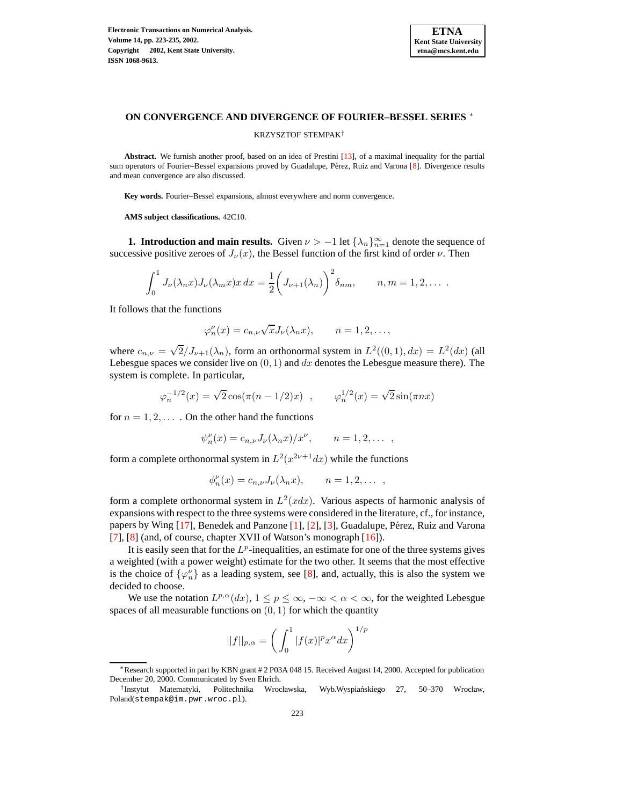

# **ON CONVERGENCE AND DIVERGENCE OF FOURIER–BESSEL SERIES** <sup>∗</sup>

KRZYSZTOF STEMPAK†

**Abstract.** We furnish another proof, based on an idea of Prestini [\[13\]](#page-12-0), of a maximal inequality for the partial sum operators of Fourier–Bessel expansions proved by Guadalupe, Pérez, Ruiz and Varona [\[8\]](#page-12-1). Divergence results and mean convergence are also discussed.

**Key words.** Fourier–Bessel expansions, almost everywhere and norm convergence.

**AMS subject classifications.** 42C10.

**1. Introduction and main results.** Given  $\nu > -1$  let  $\{\lambda_n\}_{n=1}^{\infty}$  denote the sequence of successive positive zeroes of  $J_{\nu}(x)$ , the Bessel function of the first kind of order  $\nu$ . Then

$$
\int_0^1 J_\nu(\lambda_n x) J_\nu(\lambda_m x) x \, dx = \frac{1}{2} \bigg( J_{\nu+1}(\lambda_n) \bigg)^2 \delta_{nm}, \qquad n, m = 1, 2, \dots
$$

It follows that the functions

$$
\varphi_n^{\nu}(x) = c_{n,\nu} \sqrt{x} J_{\nu}(\lambda_n x), \qquad n = 1, 2, \dots,
$$

where  $c_{n,\nu} = \sqrt{2}/J_{\nu+1}(\lambda_n)$ , form an orthonormal system in  $L^2((0,1), dx) = L^2(dx)$  (all Lebesgue spaces we consider live on  $(0, 1)$  and dx denotes the Lebesgue measure there). The system is complete. In particular,

$$
\varphi_n^{-1/2}(x) = \sqrt{2} \cos(\pi(n-1/2)x)
$$
,  $\varphi_n^{1/2}(x) = \sqrt{2} \sin(\pi nx)$ 

for  $n = 1, 2, \ldots$ . On the other hand the functions

$$
\psi_n^{\nu}(x) = c_{n,\nu} J_{\nu}(\lambda_n x) / x^{\nu}, \qquad n = 1, 2, \dots
$$

form a complete orthonormal system in  $L^2(x^{2\nu+1}dx)$  while the functions

$$
\phi_n^{\nu}(x) = c_{n,\nu} J_{\nu}(\lambda_n x), \qquad n = 1, 2, \dots ,
$$

form a complete orthonormal system in  $L^2(x dx)$ . Various aspects of harmonic analysis of expansions with respect to the three systems were considered in the literature, cf., for instance, papers by Wing  $[17]$ , Benedek and Panzone  $[1]$ ,  $[2]$ ,  $[3]$ , Guadalupe, Pérez, Ruiz and Varona [\[7\]](#page-12-3), [\[8\]](#page-12-1) (and, of course, chapter XVII of Watson's monograph [\[16\]](#page-12-4)).

It is easily seen that for the  $L^p$ -inequalities, an estimate for one of the three systems gives a weighted (with a power weight) estimate for the two other. It seems that the most effective is the choice of  $\{\varphi_n^{\nu}\}\$  as a leading system, see [\[8\]](#page-12-1), and, actually, this is also the system we decided to choose.

We use the notation  $L^{p,\alpha}(dx)$ ,  $1 \leq p \leq \infty$ ,  $-\infty < \alpha < \infty$ , for the weighted Lebesgue spaces of all measurable functions on  $(0, 1)$  for which the quantity

$$
||f||_{p,\alpha} = \left(\int_0^1 |f(x)|^p x^{\alpha} dx\right)^{1/p}
$$

<sup>∗</sup>Research supported in part by KBN grant # 2 P03A 048 15. Received August 14, 2000. Accepted for publication December 20, 2000. Communicated by Sven Ehrich.

<sup>&</sup>lt;sup>†</sup> Instytut Matematyki, Politechnika Wrocławska, Wyb.Wyspiańskiego 27, 50–370 Wrocław, Poland(stempak@im.pwr.wroc.pl).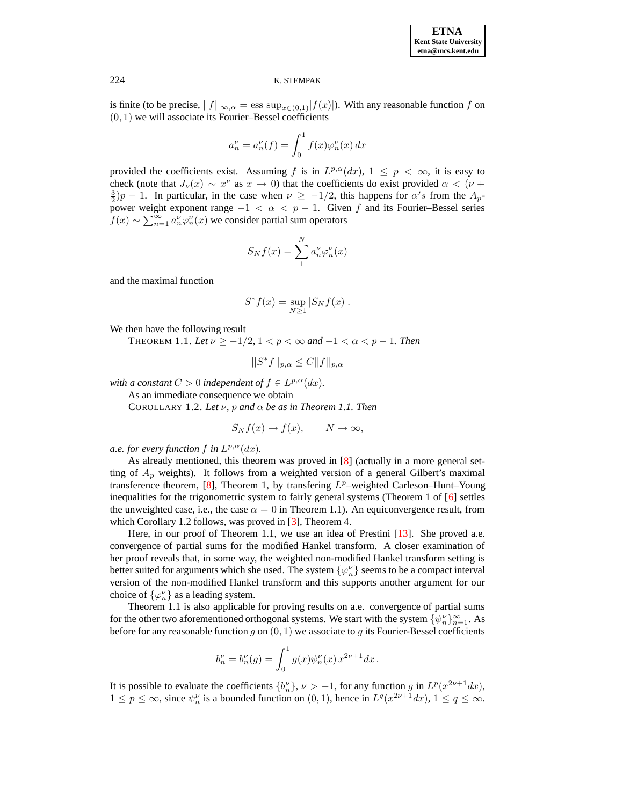is finite (to be precise,  $||f||_{\infty,\alpha} = \text{ess sup}_{x\in(0,1)}|f(x)|$ ). With any reasonable function f on  $(0, 1)$  we will associate its Fourier–Bessel coefficients

$$
a_n^{\nu} = a_n^{\nu}(f) = \int_0^1 f(x)\varphi_n^{\nu}(x) dx
$$

provided the coefficients exist. Assuming f is in  $L^{p,\alpha}(dx)$ ,  $1 \leq p < \infty$ , it is easy to check (note that  $J_{\nu}(x) \sim x^{\nu}$  as  $x \to 0$ ) that the coefficients do exist provided  $\alpha < (\nu + \nu)$  $\frac{3}{2}$ )p − 1. In particular, in the case when  $\nu \ge -1/2$ , this happens for  $\alpha's$  from the  $A_p$ power weight exponent range  $-1 < \alpha < p - 1$ . Given f and its Fourier–Bessel series  $f(x) \sim \sum_{n=1}^{\infty} a_n^{\nu} \varphi_n^{\nu}(x)$  we consider partial sum operators

$$
S_N f(x) = \sum_{1}^{N} a_n^{\nu} \varphi_n^{\nu}(x)
$$

and the maximal function

$$
S^*f(x) = \sup_{N \ge 1} |S_N f(x)|.
$$

We then have the following result

THEOREM 1.1. Let  $\nu \ge -1/2$ ,  $1 < p < \infty$  and  $-1 < \alpha < p - 1$ . Then

$$
||S^*f||_{p,\alpha} \leq C||f||_{p,\alpha}
$$

*with a constant*  $C > 0$  *independent of*  $f \in L^{p,\alpha}(dx)$ *.* 

As an immediate consequence we obtain

COROLLARY 1.2. *Let*  $\nu$ ,  $p$  *and*  $\alpha$  *be as in Theorem 1.1. Then* 

$$
S_N f(x) \to f(x), \qquad N \to \infty,
$$

*a.e. for every function*  $f$  *in*  $L^{p,\alpha}(dx)$ *.* 

As already mentioned, this theorem was proved in [8] (actually in a more general set-  
ting of 
$$
A_p
$$
 weights). It follows from a weighted version of a general Gilbert's maximal  
transference theorem, [8], Theorem 1, by transferring  $L^p$ -weighted Carleson–Hunt–Young  
inequalities for the trigonometric system to fairly general systems (Theorem 1 of [6] settles  
the unweighted case, i.e., the case  $\alpha = 0$  in Theorem 1.1). An equiconvergence result, from  
which Corollary 1.2 follows, was proved in [3], Theorem 4.

Here, in our proof of Theorem 1.1, we use an idea of Prestini [\[13\]](#page-12-0). She proved a.e. convergence of partial sums for the modified Hankel transform. A closer examination of her proof reveals that, in some way, the weighted non-modified Hankel transform setting is better suited for arguments which she used. The system  $\{\varphi_n^{\nu}\}$  seems to be a compact interval version of the non-modified Hankel transform and this supports another argument for our choice of  $\{\varphi_n^{\nu}\}\$ as a leading system.

Theorem 1.1 is also applicable for proving results on a.e. convergence of partial sums for the other two aforementioned orthogonal systems. We start with the system  $\{\psi_n^{\nu}\}_{n=1}^{\infty}$ . As before for any reasonable function  $g$  on  $(0, 1)$  we associate to  $g$  its Fourier-Bessel coefficients

$$
b_n^{\nu}=b_n^{\nu}(g)=\int_0^1g(x)\psi_n^{\nu}(x)\,x^{2\nu+1}dx\,.
$$

It is possible to evaluate the coefficients  ${b_n^{\nu}}$ ,  $\nu > -1$ , for any function g in  $L^p(x^{2\nu+1}dx)$ ,  $1 \le p \le \infty$ , since  $\psi_n^{\nu}$  is a bounded function on  $(0, 1)$ , hence in  $L^q(x^{2\nu+1}dx)$ ,  $1 \le q \le \infty$ .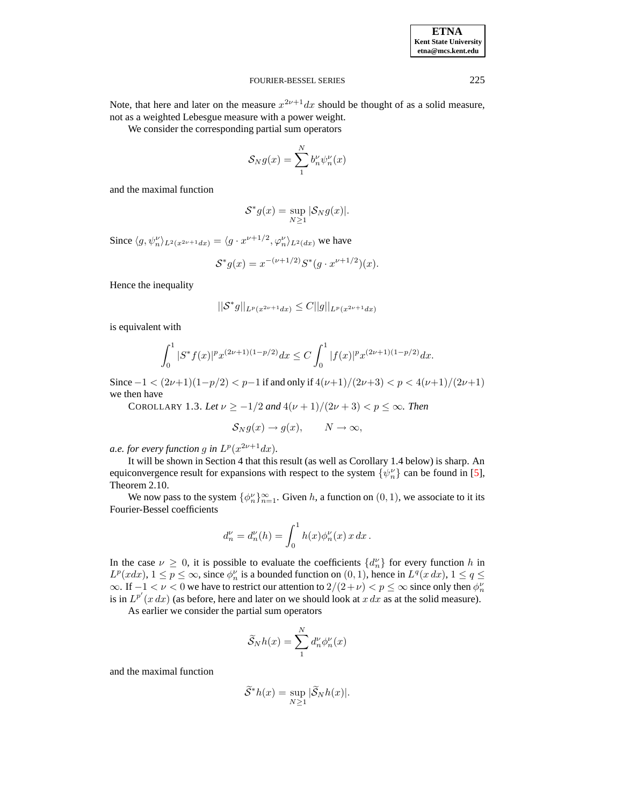### **ETNA Kent State University etna@mcs.kent.edu**

#### FOURIER-BESSEL SERIES 225

Note, that here and later on the measure  $x^{2\nu+1}dx$  should be thought of as a solid measure, not as a weighted Lebesgue measure with a power weight.

We consider the corresponding partial sum operators

$$
\mathcal{S}_N g(x) = \sum_1^N b_n^{\nu} \psi_n^{\nu}(x)
$$

and the maximal function

$$
\mathcal{S}^*g(x) = \sup_{N \ge 1} |\mathcal{S}_N g(x)|.
$$

Since  $\langle g, \psi_n^{\nu} \rangle_{L^2(x^{2\nu+1}dx)} = \langle g \cdot x^{\nu+1/2}, \varphi_n^{\nu} \rangle_{L^2(dx)}$  we have

$$
S^*g(x) = x^{-(\nu+1/2)}S^*(g \cdot x^{\nu+1/2})(x).
$$

Hence the inequality

$$
||\mathcal{S}^*g||_{L^p(x^{2\nu+1}dx)} \leq C||g||_{L^p(x^{2\nu+1}dx)}
$$

is equivalent with

$$
\int_0^1 |S^* f(x)|^p x^{(2\nu+1)(1-p/2)} dx \leq C \int_0^1 |f(x)|^p x^{(2\nu+1)(1-p/2)} dx.
$$

Since  $-1 < (2\nu+1)(1-p/2) < p-1$  if and only if  $4(\nu+1)/(2\nu+3) < p < 4(\nu+1)/(2\nu+1)$ we then have

COROLLARY 1.3. Let  $\nu \ge -1/2$  and  $4(\nu + 1)/(2\nu + 3) < p \le \infty$ . Then

$$
S_N g(x) \to g(x), \qquad N \to \infty,
$$

*a.e. for every function g in*  $L^p(x^{2\nu+1}dx)$ *.* 

It will be shown in Section 4 that this result (as well as Corollary 1.4 below) is sharp. An equiconvergence result for expansions with respect to the system  $\{\psi_n^{\nu}\}$  can be found in [\[5\]](#page-11-3), Theorem 2.10.

We now pass to the system  $\{\phi_n^{\nu}\}_{n=1}^{\infty}$ . Given h, a function on  $(0, 1)$ , we associate to it its Fourier-Bessel coefficients

$$
d_n^{\nu} = d_n^{\nu}(h) = \int_0^1 h(x) \phi_n^{\nu}(x) x \, dx \, .
$$

In the case  $\nu \geq 0$ , it is possible to evaluate the coefficients  $\{d_n^{\nu}\}\$  for every function h in  $L^p(x dx)$ ,  $1 \leq p \leq \infty$ , since  $\phi_n^{\nu}$  is a bounded function on  $(0, 1)$ , hence in  $L^q(x dx)$ ,  $1 \leq q \leq \infty$  $\infty$ . If  $-1 < \nu < 0$  we have to restrict our attention to  $2/(2+\nu) < p \le \infty$  since only then  $\phi_n^{\nu}$ is in  $L^{p'}(x dx)$  (as before, here and later on we should look at x dx as at the solid measure).

As earlier we consider the partial sum operators

$$
\widetilde{S}_N h(x) = \sum_{1}^{N} d_n^{\nu} \phi_n^{\nu}(x)
$$

and the maximal function

$$
\widetilde{S}^*h(x) = \sup_{N \ge 1} |\widetilde{S}_N h(x)|.
$$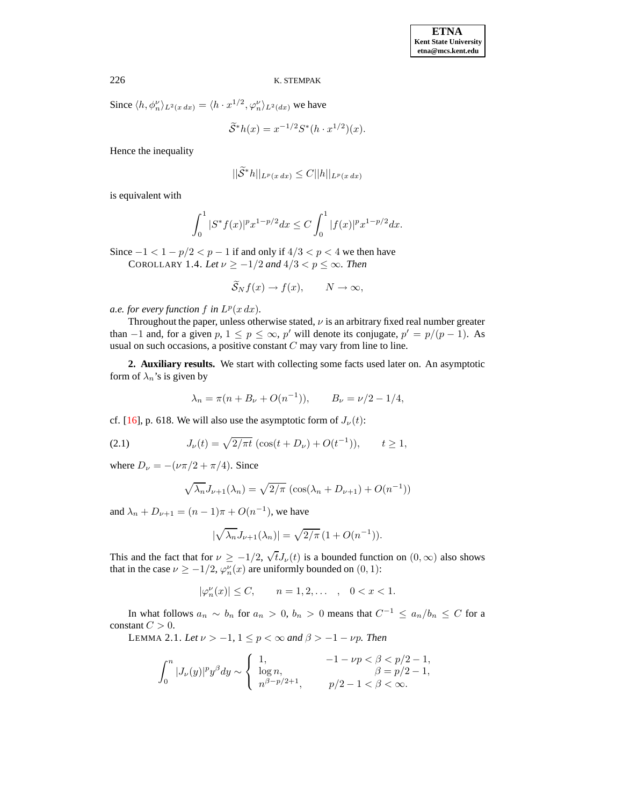Since  $\langle h, \phi_n^{\nu} \rangle_{L^2(x dx)} = \langle h \cdot x^{1/2}, \phi_n^{\nu} \rangle_{L^2(dx)}$  we have

$$
\widetilde{S}^*h(x) = x^{-1/2}S^*(h \cdot x^{1/2})(x).
$$

Hence the inequality

$$
||\widetilde{\mathcal{S}}^*h||_{L^p(x\,dx)} \leq C||h||_{L^p(x\,dx)}
$$

is equivalent with

$$
\int_0^1 |S^* f(x)|^p x^{1-p/2} dx \le C \int_0^1 |f(x)|^p x^{1-p/2} dx.
$$

Since  $-1 < 1 - p/2 < p - 1$  if and only if  $4/3 < p < 4$  we then have COROLLARY 1.4. *Let*  $\nu \ge -1/2$  *and*  $4/3 < p \le \infty$ *. Then* 

$$
\widetilde{S}_N f(x) \to f(x), \qquad N \to \infty,
$$

*a.e. for every function*  $f$  *in*  $L^p(x dx)$ *.* 

Throughout the paper, unless otherwise stated,  $\nu$  is an arbitrary fixed real number greater than  $-1$  and, for a given  $p, 1 \le p \le \infty$ , p' will denote its conjugate,  $p' = p/(p - 1)$ . As usual on such occasions, a positive constant  $C$  may vary from line to line.

**2. Auxiliary results.** We start with collecting some facts used later on. An asymptotic form of  $\lambda_n$ 's is given by

$$
\lambda_n = \pi(n + B_\nu + O(n^{-1})),
$$
  $B_\nu = \nu/2 - 1/4,$ 

cf. [\[16\]](#page-12-4), p. 618. We will also use the asymptotic form of  $J_{\nu}(t)$ :

(2.1) 
$$
J_{\nu}(t) = \sqrt{2/\pi t} \left( \cos(t + D_{\nu}) + O(t^{-1}) \right), \qquad t \ge 1,
$$

where  $D_{\nu} = -(\nu \pi/2 + \pi/4)$ . Since

$$
\sqrt{\lambda_n} J_{\nu+1}(\lambda_n) = \sqrt{2/\pi} \left( \cos(\lambda_n + D_{\nu+1}) + O(n^{-1}) \right)
$$

and  $\lambda_n + D_{\nu+1} = (n-1)\pi + O(n^{-1})$ , we have

$$
\left|\sqrt{\lambda_n}J_{\nu+1}(\lambda_n)\right|=\sqrt{2/\pi}\left(1+O(n^{-1})\right).
$$

This and the fact that for  $\nu \ge -1/2$ ,  $\sqrt{t}J_{\nu}(t)$  is a bounded function on  $(0,\infty)$  also shows that in the case  $\nu \ge -1/2$ ,  $\varphi_n^{\nu}(x)$  are uniformly bounded on  $(0, 1)$ :

$$
|\varphi_n^{\nu}(x)| \le C
$$
,  $n = 1, 2, ...$ ,  $0 < x < 1$ .

In what follows  $a_n \sim b_n$  for  $a_n > 0$ ,  $b_n > 0$  means that  $C^{-1} \le a_n/b_n \le C$  for a constant  $C > 0$ .

LEMMA 2.1. *Let*  $\nu > -1$ ,  $1 \leq p < \infty$  *and*  $\beta > -1 - \nu p$ *. Then* 

$$
\int_0^n|J_{\nu}(y)|^py^\beta dy\sim \left\{\begin{array}{ll} 1, & -1-\nu p<\beta
$$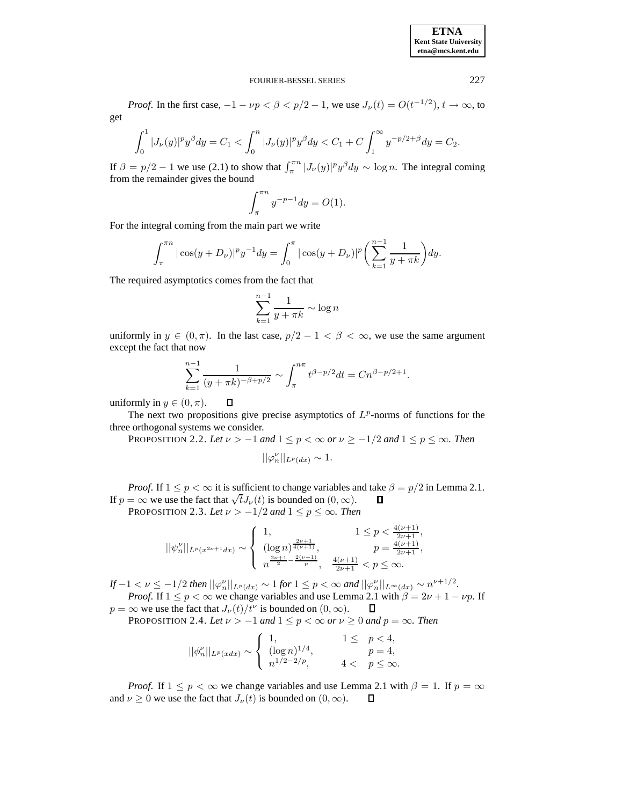**ETNA Kent State University etna@mcs.kent.edu**

#### FOURIER-BESSEL SERIES 227

*Proof.* In the first case,  $-1 - \nu p < \beta < p/2 - 1$ , we use  $J_{\nu}(t) = O(t^{-1/2})$ ,  $t \to \infty$ , to get

$$
\int_0^1 |J_{\nu}(y)|^p y^{\beta} dy = C_1 < \int_0^n |J_{\nu}(y)|^p y^{\beta} dy < C_1 + C \int_1^\infty y^{-p/2 + \beta} dy = C_2.
$$

If  $\beta = p/2 - 1$  we use (2.1) to show that  $\int_{\pi}^{\pi n} |J_{\nu}(y)|^p y^{\beta} dy \sim \log n$ . The integral coming from the remainder gives the bound

$$
\int_{\pi}^{\pi n} y^{-p-1} dy = O(1).
$$

For the integral coming from the main part we write

$$
\int_{\pi}^{\pi n} |\cos(y + D_{\nu})|^p y^{-1} dy = \int_0^{\pi} |\cos(y + D_{\nu})|^p \left( \sum_{k=1}^{n-1} \frac{1}{y + \pi k} \right) dy.
$$

The required asymptotics comes from the fact that

$$
\sum_{k=1}^{n-1} \frac{1}{y + \pi k} \sim \log n
$$

uniformly in  $y \in (0, \pi)$ . In the last case,  $p/2 - 1 < \beta < \infty$ , we use the same argument except the fact that now

$$
\sum_{k=1}^{n-1} \frac{1}{(y+\pi k)^{-\beta+p/2}} \sim \int_{\pi}^{n\pi} t^{\beta-p/2} dt = Cn^{\beta-p/2+1}.
$$

uniformly in  $y \in (0, \pi)$ .

The next two propositions give precise asymptotics of  $L^p$ -norms of functions for the three orthogonal systems we consider.

PROPOSITION 2.2. Let  $\nu > -1$  and  $1 \le p < \infty$  or  $\nu \ge -1/2$  and  $1 \le p \le \infty$ . Then

$$
||\varphi_n''||_{L^p(dx)} \sim 1.
$$

*Proof.* If  $1 \le p < \infty$  it is sufficient to change variables and take  $\beta = p/2$  in Lemma 2.1.<br>=  $\infty$  we use the fact that  $\sqrt{t}J_{\nu}(t)$  is bounded on  $(0, \infty)$ .  $\Box$ If  $p = \infty$  we use the fact that  $\sqrt{t}J_{\nu}(t)$  is bounded on  $(0, \infty)$ .

PROPOSITION 2.3. Let  $\nu > -1/2$  and  $1 \le p \le \infty$ . Then

 $\Box$ 

$$
||\psi_n^{\nu}||_{L^p(x^{2\nu+1}dx)} \sim \begin{cases} 1, & 1 \le p < \frac{4(\nu+1)}{2\nu+1}, \\ (\log n)^{\frac{2\nu+1}{4(\nu+1)}}, & p = \frac{4(\nu+1)}{2\nu+1}, \\ n^{\frac{2\nu+1}{2} - \frac{2(\nu+1)}{p}}, & \frac{4(\nu+1)}{2\nu+1} < p \le \infty. \end{cases}
$$

*If* −1 <  $\nu$  ≤ −1/2 *then*  $||\varphi_n^{\nu}||_{L^p(dx)} \sim 1$  *for* 1 ≤  $p$  < ∞ *and*  $||\varphi_n^{\nu}||_{L^{\infty}(dx)} \sim n^{\nu+1/2}$ *.* 

*Proof.* If  $1 \le p < \infty$  we change variables and use Lemma 2.1 with  $\beta = 2\nu + 1 - \nu p$ . If  $\infty$  we use the fact that  $J_{\nu}(t)/t^{\nu}$  is bounded on  $(0, \infty)$ .  $\Box$  $p = \infty$  we use the fact that  $J_{\nu}(t)/t^{\nu}$  is bounded on  $(0, \infty)$ .

PROPOSITION 2.4. *Let*  $\nu > -1$  *and*  $1 \leq p < \infty$  *or*  $\nu \geq 0$  *and*  $p = \infty$ *. Then* 

$$
||\phi_n^{\nu}||_{L^p(xdx)} \sim \begin{cases} 1, & 1 \le p < 4, \\ (\log n)^{1/4}, & p = 4, \\ n^{1/2 - 2/p}, & 4 < p \le \infty. \end{cases}
$$

*Proof.* If  $1 \le p < \infty$  we change variables and use Lemma 2.1 with  $\beta = 1$ . If  $p = \infty$   $\nu > 0$  we use the fact that  $L(t)$  is bounded on  $(0, \infty)$   $\Box$ and  $\nu \geq 0$  we use the fact that  $J_{\nu}(t)$  is bounded on  $(0, \infty)$ .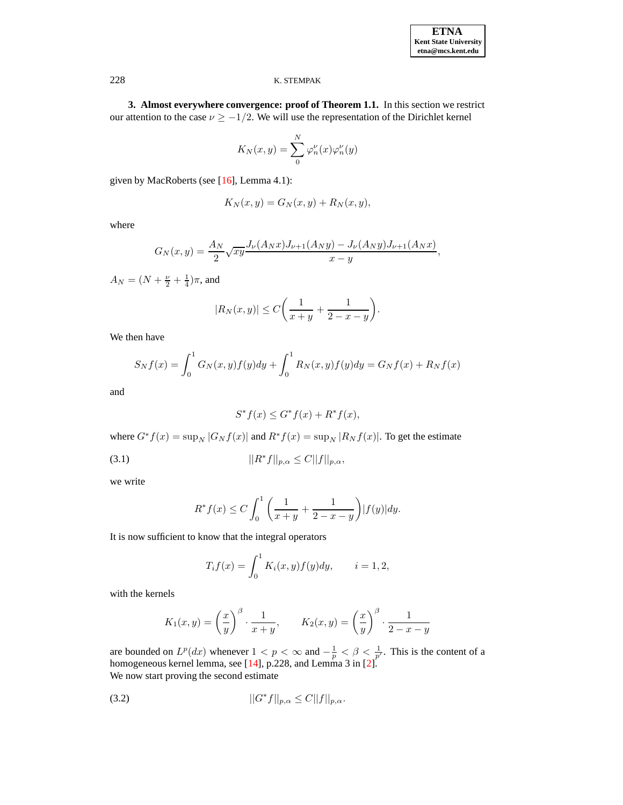**3. Almost everywhere convergence: proof of Theorem 1.1.** In this section we restrict our attention to the case  $\nu \ge -1/2$ . We will use the representation of the Dirichlet kernel

$$
K_N(x,y)=\sum_0^N\varphi_n^\nu(x)\varphi_n^\nu(y)
$$

given by MacRoberts (see [\[16\]](#page-12-4), Lemma 4.1):

$$
K_N(x, y) = G_N(x, y) + R_N(x, y),
$$

where

$$
G_N(x,y) = \frac{A_N}{2} \sqrt{xy} \frac{J_\nu(A_N x) J_{\nu+1}(A_N y) - J_\nu(A_N y) J_{\nu+1}(A_N x)}{x - y},
$$

 $A_N = (N + \frac{\nu}{2} + \frac{1}{4})\pi$ , and

$$
|R_N(x,y)| \le C\bigg(\frac{1}{x+y} + \frac{1}{2-x-y}\bigg).
$$

We then have

$$
S_N f(x) = \int_0^1 G_N(x, y) f(y) dy + \int_0^1 R_N(x, y) f(y) dy = G_N f(x) + R_N f(x)
$$

and

$$
S^* f(x) \le G^* f(x) + R^* f(x),
$$

where  $G^*f(x) = \sup_N |G_N f(x)|$  and  $R^*f(x) = \sup_N |R_N f(x)|$ . To get the estimate

(3.1) 
$$
||R^*f||_{p,\alpha} \leq C||f||_{p,\alpha},
$$

we write

$$
R^* f(x) \le C \int_0^1 \left( \frac{1}{x+y} + \frac{1}{2-x-y} \right) |f(y)| dy.
$$

It is now sufficient to know that the integral operators

$$
T_i f(x) = \int_0^1 K_i(x, y) f(y) dy, \qquad i = 1, 2,
$$

with the kernels

$$
K_1(x,y) = \left(\frac{x}{y}\right)^{\beta} \cdot \frac{1}{x+y}, \qquad K_2(x,y) = \left(\frac{x}{y}\right)^{\beta} \cdot \frac{1}{2-x-y}
$$

are bounded on  $L^p(dx)$  whenever  $1 < p < \infty$  and  $-\frac{1}{p} < \beta < \frac{1}{p'}$ . This is the content of a homogeneous kernel lemma, see [\[14\]](#page-12-6), p.228, and Lemma 3 in [\[2\]](#page-11-1). We now start proving the second estimate

(3.2) 
$$
||G^* f||_{p,\alpha} \leq C||f||_{p,\alpha}.
$$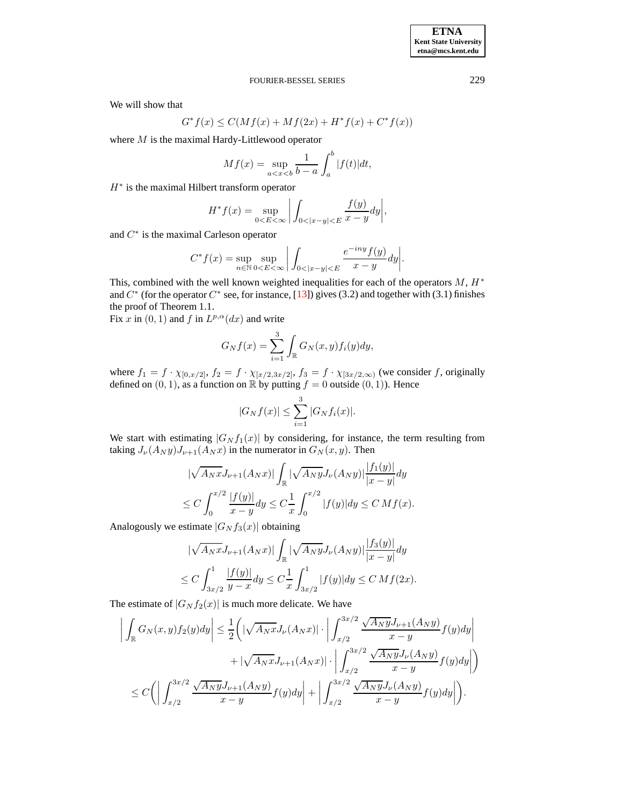We will show that

$$
G^* f(x) \le C(Mf(x) + Mf(2x) + H^*f(x) + C^*f(x))
$$

where  $M$  is the maximal Hardy-Littlewood operator

$$
Mf(x) = \sup_{a < x < b} \frac{1}{b-a} \int_a^b |f(t)| \, dt
$$

 $H^*$  is the maximal Hilbert transform operator

$$
H^* f(x) = \sup_{0 < E < \infty} \left| \int_{0 < |x - y| < E} \frac{f(y)}{x - y} dy \right|,
$$

and  $C^*$  is the maximal Carleson operator

$$
C^*f(x) = \sup_{n \in \mathbb{N}} \sup_{0 \leq E \leq \infty} \left| \int_{0 < |x-y| < E} \frac{e^{-iny} f(y)}{x-y} dy \right|.
$$

This, combined with the well known weighted inequalities for each of the operators  $M$ ,  $H^*$ and  $C^*$  (for the operator  $C^*$  see, for instance, [\[13\]](#page-12-0)) gives (3.2) and together with (3.1) finishes the proof of Theorem 1.1.

Fix x in  $(0, 1)$  and f in  $L^{p,\alpha}(dx)$  and write

$$
G_N f(x) = \sum_{i=1}^3 \int_{\mathbb{R}} G_N(x, y) f_i(y) dy,
$$

where  $f_1 = f \cdot \chi_{[0,x/2]}, f_2 = f \cdot \chi_{[x/2,3x/2]}, f_3 = f \cdot \chi_{[3x/2,\infty)}$  (we consider f, originally defined on  $(0, 1)$ , as a function on R by putting  $f = 0$  outside  $(0, 1)$ ). Hence

$$
|G_N f(x)| \le \sum_{i=1}^3 |G_N f_i(x)|.
$$

We start with estimating  $|G_N f_1(x)|$  by considering, for instance, the term resulting from taking  $J_{\nu}(A_N y)J_{\nu+1}(A_N x)$  in the numerator in  $G_N(x, y)$ . Then

$$
\sqrt{A_Nx} J_{\nu+1}(A_Nx)| \int_{\mathbb{R}} |\sqrt{A_Ny} J_{\nu}(A_Ny)| \frac{|f_1(y)|}{|x-y|} dy
$$
  
\n
$$
\leq C \int_0^{x/2} \frac{|f(y)|}{x-y} dy \leq C \frac{1}{x} \int_0^{x/2} |f(y)| dy \leq C M f(x).
$$

Analogously we estimate  $|G_N f_3(x)|$  obtaining

$$
\sqrt{A_Nx} J_{\nu+1}(A_Nx) \Big| \int_{\mathbb{R}} |\sqrt{A_Ny} J_{\nu}(A_Ny)| \frac{|f_3(y)|}{|x-y|} dy
$$
  
\n
$$
\leq C \int_{3x/2}^1 \frac{|f(y)|}{y-x} dy \leq C \frac{1}{x} \int_{3x/2}^1 |f(y)| dy \leq C M f(2x).
$$

The estimate of  $|G_N f_2(x)|$  is much more delicate. We have

$$
\left| \int_{\mathbb{R}} G_N(x, y) f_2(y) dy \right| \leq \frac{1}{2} \left( \left| \sqrt{A_N x} J_{\nu}(A_N x) \right| \cdot \left| \int_{x/2}^{3x/2} \frac{\sqrt{A_N y} J_{\nu+1}(A_N y)}{x - y} f(y) dy \right| + \left| \sqrt{A_N x} J_{\nu+1}(A_N x) \right| \cdot \left| \int_{x/2}^{3x/2} \frac{\sqrt{A_N y} J_{\nu}(A_N y)}{x - y} f(y) dy \right| \right) \leq C \left( \left| \int_{x/2}^{3x/2} \frac{\sqrt{A_N y} J_{\nu+1}(A_N y)}{x - y} f(y) dy \right| + \left| \int_{x/2}^{3x/2} \frac{\sqrt{A_N y} J_{\nu}(A_N y)}{x - y} f(y) dy \right| \right).
$$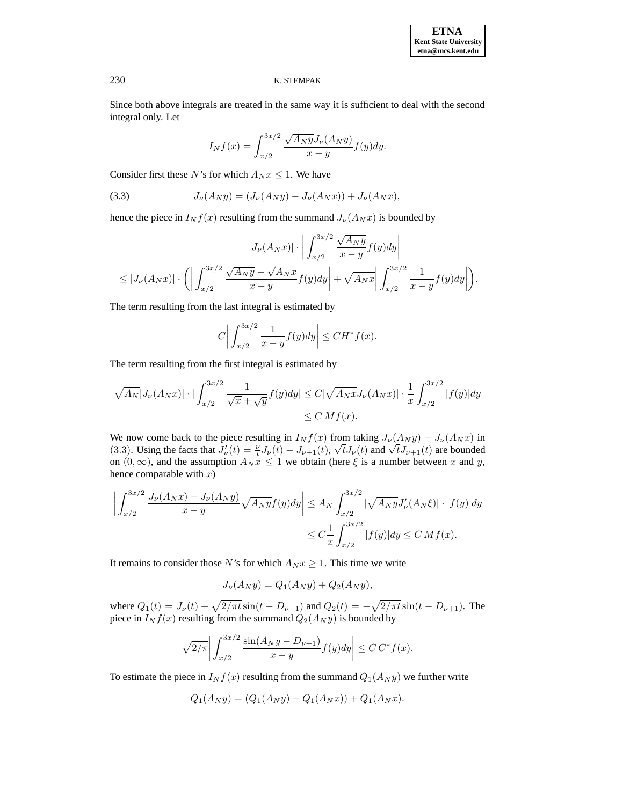**ETNA Kent State University etna@mcs.kent.edu**

### 230 K. STEMPAK

Since both above integrals are treated in the same way it is sufficient to deal with the second integral only. Let

$$
I_N f(x) = \int_{x/2}^{3x/2} \frac{\sqrt{A_N y} J_{\nu}(A_N y)}{x - y} f(y) dy.
$$

Consider first these N's for which  $A_N x \leq 1$ . We have

(3.3) 
$$
J_{\nu}(A_N y) = (J_{\nu}(A_N y) - J_{\nu}(A_N x)) + J_{\nu}(A_N x),
$$

hence the piece in  $I_N f(x)$  resulting from the summand  $J_\nu(A_N x)$  is bounded by

$$
|J_{\nu}(A_Nx)| \cdot \left| \int_{x/2}^{3x/2} \frac{\sqrt{A_Ny}}{x-y} f(y) dy \right|
$$
  
\n
$$
\leq |J_{\nu}(A_Nx)| \cdot \left( \left| \int_{x/2}^{3x/2} \frac{\sqrt{A_Ny} - \sqrt{A_Nx}}{x-y} f(y) dy \right| + \sqrt{A_Nx} \left| \int_{x/2}^{3x/2} \frac{1}{x-y} f(y) dy \right| \right).
$$

The term resulting from the last integral is estimated by

$$
C\bigg|\int_{x/2}^{3x/2}\frac{1}{x-y}f(y)dy\bigg|\leq CH^*f(x).
$$

The term resulting from the first integral is estimated by

$$
\sqrt{A_N} |J_{\nu}(A_N x)| \cdot |\int_{x/2}^{3x/2} \frac{1}{\sqrt{x} + \sqrt{y}} f(y) dy| \le C |\sqrt{A_N x} J_{\nu}(A_N x)| \cdot \frac{1}{x} \int_{x/2}^{3x/2} |f(y)| dy
$$
  
\n
$$
\le C M f(x).
$$

We now come back to the piece resulting in  $I_N f(x)$  from taking  $J_{\nu}(A_N y) - J_{\nu}(A_N x)$  in (3.3). Using the facts that  $J'_\nu(t) = \frac{\nu}{t} J_\nu(t) - J_{\nu+1}(t)$ ,  $\sqrt{t} J_\nu(t)$  and  $\sqrt{t} J_{\nu+1}(t)$  are bounded on  $(0, \infty)$ , and the assumption  $A_N x \leq 1$  we obtain (here  $\xi$  is a number between x and y, hence comparable with  $x$ )

$$
\left| \int_{x/2}^{3x/2} \frac{J_{\nu}(A_N x) - J_{\nu}(A_N y)}{x - y} \sqrt{A_N y} f(y) dy \right| \le A_N \int_{x/2}^{3x/2} |\sqrt{A_N y} J_{\nu}'(A_N \xi)| \cdot |f(y)| dy
$$
  

$$
\le C \frac{1}{x} \int_{x/2}^{3x/2} |f(y)| dy \le C M f(x).
$$

It remains to consider those N's for which  $A_N x \geq 1$ . This time we write

$$
J_{\nu}(A_N y) = Q_1(A_N y) + Q_2(A_N y),
$$

where  $Q_1(t) = J_{\nu}(t) + \sqrt{2/\pi t} \sin(t - D_{\nu+1})$  and  $Q_2(t) = -\sqrt{2/\pi t} \sin(t - D_{\nu+1})$ . The piece in  $I_N f(x)$  resulting from the summand  $Q_2(A_N y)$  is bounded by

$$
\sqrt{2/\pi}\bigg|\int_{x/2}^{3x/2}\frac{\sin(A_Ny-D_{\nu+1})}{x-y}f(y)dy\bigg|\leq C C^*f(x).
$$

To estimate the piece in  $I_N f(x)$  resulting from the summand  $Q_1(A_N y)$  we further write

$$
Q_1(A_N y) = (Q_1(A_N y) - Q_1(A_N x)) + Q_1(A_N x).
$$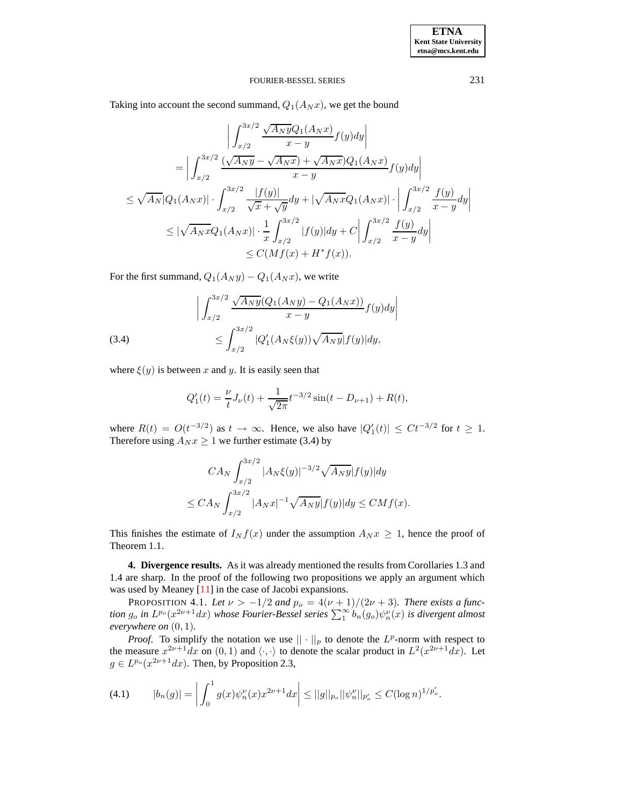Taking into account the second summand,  $Q_1(A_N x)$ , we get the bound

$$
\left| \int_{x/2}^{3x/2} \frac{\sqrt{A_N y} Q_1(A_N x)}{x - y} f(y) dy \right|
$$
  
\n
$$
= \left| \int_{x/2}^{3x/2} \frac{(\sqrt{A_N y} - \sqrt{A_N x}) + \sqrt{A_N x}) Q_1(A_N x)}{x - y} f(y) dy \right|
$$
  
\n
$$
\leq \sqrt{A_N} |Q_1(A_N x)| \cdot \int_{x/2}^{3x/2} \frac{|f(y)|}{\sqrt{x} + \sqrt{y}} dy + |\sqrt{A_N x} Q_1(A_N x)| \cdot \left| \int_{x/2}^{3x/2} \frac{f(y)}{x - y} dy \right|
$$
  
\n
$$
\leq |\sqrt{A_N x} Q_1(A_N x)| \cdot \frac{1}{x} \int_{x/2}^{3x/2} |f(y)| dy + C \left| \int_{x/2}^{3x/2} \frac{f(y)}{x - y} dy \right|
$$
  
\n
$$
\leq C(M f(x) + H^* f(x)).
$$

For the first summand,  $Q_1(A_N y) - Q_1(A_N x)$ , we write

(3.4) 
$$
\left| \int_{x/2}^{3x/2} \frac{\sqrt{A_N y} (Q_1(A_N y) - Q_1(A_N x))}{x - y} f(y) dy \right|
$$

$$
\leq \int_{x/2}^{3x/2} |Q'_1(A_N \xi(y))\sqrt{A_N y}| f(y)| dy,
$$

where  $\xi(y)$  is between x and y. It is easily seen that

$$
Q_1'(t) = \frac{\nu}{t}J_{\nu}(t) + \frac{1}{\sqrt{2\pi}}t^{-3/2}\sin(t - D_{\nu+1}) + R(t),
$$

where  $R(t) = O(t^{-3/2})$  as  $t \to \infty$ . Hence, we also have  $|Q_1'(t)| \leq Ct^{-3/2}$  for  $t \geq 1$ . Therefore using  $A_N x \ge 1$  we further estimate (3.4) by

$$
CA_N \int_{x/2}^{3x/2} |A_N \xi(y)|^{-3/2} \sqrt{A_N y} |f(y)| dy
$$
  

$$
\leq CA_N \int_{x/2}^{3x/2} |A_N x|^{-1} \sqrt{A_N y} |f(y)| dy \leq CM f(x).
$$

This finishes the estimate of  $I_N f(x)$  under the assumption  $A_N x \geq 1$ , hence the proof of Theorem 1.1.

**4. Divergence results.** As it was already mentioned the results from Corollaries 1.3 and 1.4 are sharp. In the proof of the following two propositions we apply an argument which was used by Meaney [\[11\]](#page-12-7) in the case of Jacobi expansions.

PROPOSITION 4.1. Let  $\nu > -1/2$  and  $p_o = 4(\nu + 1)/(2\nu + 3)$ . There exists a func*tion*  $g_o$  *in*  $L^{p_o}(x^{2\nu+1}dx)$  *whose Fourier-Bessel series*  $\sum_1^{\infty} b_n(g_o)\psi_n^{\nu}(x)$  *is divergent almost everywhere on* (0, 1)*.*

*Proof.* To simplify the notation we use  $|| \cdot ||_p$  to denote the  $L^p$ -norm with respect to the measure  $x^{2\nu+1}dx$  on  $(0,1)$  and  $\langle \cdot, \cdot \rangle$  to denote the scalar product in  $L^2(x^{2\nu+1}dx)$ . Let  $g \in L^{p_o}(x^{2\nu+1}dx)$ . Then, by Proposition 2.3,

$$
(4.1) \t |b_n(g)| = \left| \int_0^1 g(x) \psi_n^{\nu}(x) x^{2\nu+1} dx \right| \le ||g||_{p_o} ||\psi_n^{\nu}||_{p_o'} \le C (\log n)^{1/p_o'}.
$$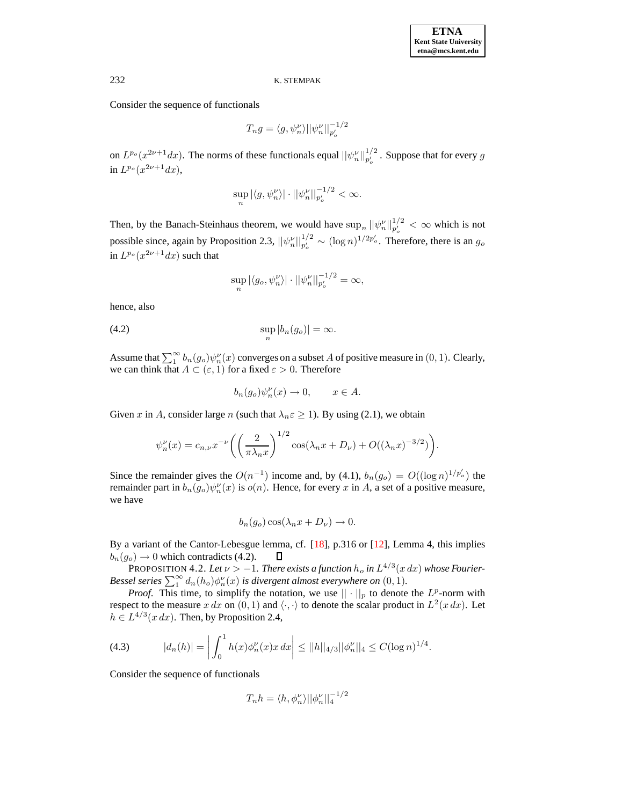Consider the sequence of functionals

$$
T_n g = \langle g, \psi_n^{\nu} \rangle ||\psi_n^{\nu}||_{p_o'}^{-1/2}
$$

on  $L^{p_o}(x^{2\nu+1}dx)$ . The norms of these functionals equal  $||\psi_n^{\nu}||_{p_o'}^{1/2}$ . Suppose that for every g in  $L^{p_o}(x^{2\nu+1}dx)$ ,

$$
\sup_n |\langle g, \psi_n^{\nu} \rangle| \cdot ||\psi_n^{\nu}||_{p_o'}^{-1/2} < \infty.
$$

Then, by the Banach-Steinhaus theorem, we would have  $\sup_n ||\psi_n^{\nu}||_{p_o'}^{1/2} < \infty$  which is not possible since, again by Proposition 2.3,  $||\psi_n^{\nu}||_{p_o'}^{1/2} \sim (\log n)^{1/2p_o'}$ . Therefore, there is an  $g_o$ in  $L^{p_o}(x^{2\nu+1}dx)$  such that

$$
\sup_n |\langle g_o, \psi_n^{\nu} \rangle| \cdot ||\psi_n^{\nu}||_{p_o'}^{-1/2} = \infty,
$$

hence, also

$$
\sup_n |b_n(g_o)| = \infty.
$$

Assume that  $\sum_{1}^{\infty} b_n(g_o)\psi_n^{\nu}(x)$  converges on a subset A of positive measure in  $(0, 1)$ . Clearly, we can think that  $A \subset (\varepsilon, 1)$  for a fixed  $\varepsilon > 0$ . Therefore

$$
b_n(g_o)\psi_n^{\nu}(x) \to 0, \qquad x \in A.
$$

Given x in A, consider large n (such that  $\lambda_n \varepsilon \geq 1$ ). By using (2.1), we obtain

$$
\psi_n^{\nu}(x) = c_{n,\nu} x^{-\nu} \left( \left( \frac{2}{\pi \lambda_n x} \right)^{1/2} \cos(\lambda_n x + D_{\nu}) + O((\lambda_n x)^{-3/2}) \right).
$$

Since the remainder gives the  $O(n^{-1})$  income and, by (4.1),  $b_n(g_o) = O((\log n)^{1/p'_o})$  the remainder part in  $b_n(g_o)\psi_n^{\nu}(x)$  is  $o(n)$ . Hence, for every x in A, a set of a positive measure, we have

$$
b_n(g_o)\cos(\lambda_n x + D_\nu) \to 0.
$$

By a variant of the Cantor-Lebesgue lemma, cf. [\[18\]](#page-12-8), p.316 or [\[12\]](#page-12-9), Lemma 4, this implies  $b_n(q_o) \rightarrow 0$  which contradicts (4.2).  $\Box$ 

PROPOSITION 4.2. Let  $\nu > -1$ . There exists a function  $h_o$  in  $L^{4/3}(x \, dx)$  whose Fourier-*Bessel series*  $\sum_{1}^{\infty} d_n(h_o) \phi_n^{\nu}(x)$  *is divergent almost everywhere on*  $(0, 1)$ *.* 

*Proof.* This time, to simplify the notation, we use  $|| \cdot ||_p$  to denote the  $L^p$ -norm with respect to the measure x dx on  $(0, 1)$  and  $\langle \cdot, \cdot \rangle$  to denote the scalar product in  $L^2(x \, dx)$ . Let  $h \in L^{4/3}(x \, dx)$ . Then, by Proposition 2.4,

(4.3) 
$$
|d_n(h)| = \left| \int_0^1 h(x) \phi_n^{\nu}(x) x \, dx \right| \leq ||h||_{4/3} ||\phi_n^{\nu}||_4 \leq C (\log n)^{1/4}.
$$

Consider the sequence of functionals

$$
T_n h = \langle h, \phi_n^{\nu} \rangle ||\phi_n^{\nu}||_4^{-1/2}
$$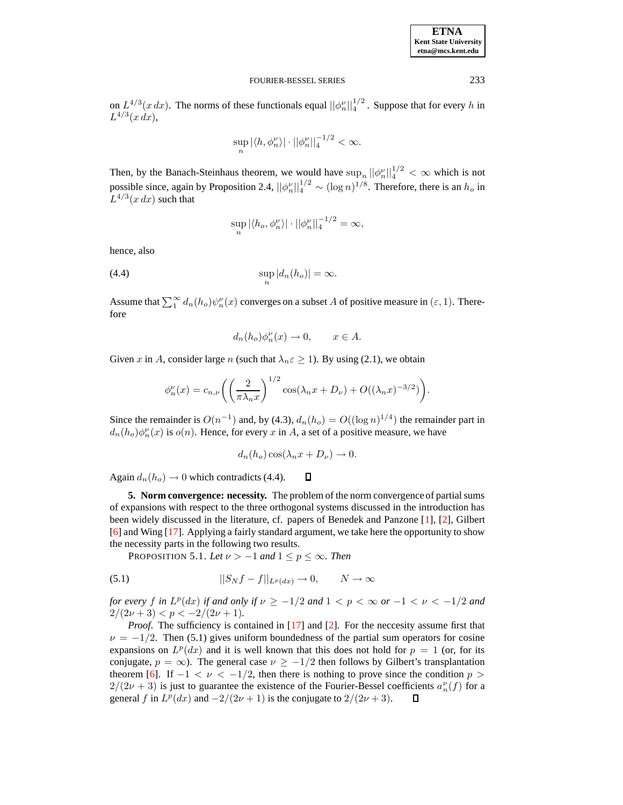| <b>ETNA</b>                  |
|------------------------------|
| <b>Kent State University</b> |
| etna@mcs.kent.edu            |

on  $L^{4/3}(x \, dx)$ . The norms of these functionals equal  $||\phi_n^{\nu}||_4^{1/2}$ . Suppose that for every h in  $L^{4/3}(x \, dx),$ 

$$
\sup_n |\langle h, \phi_n^{\nu} \rangle| \cdot ||\phi_n^{\nu}||_4^{-1/2} < \infty.
$$

Then, by the Banach-Steinhaus theorem, we would have  $\sup_n ||\phi_n^{\nu}||_4^{1/2} < \infty$  which is not possible since, again by Proposition 2.4,  $||\phi_n^{\nu}||_4^{1/2} \sim (\log n)^{1/8}$ . Therefore, there is an  $h_o$  in  $L^{4/3}(x dx)$  such that

$$
\sup_{n} |\langle h_o, \phi_n^{\nu} \rangle| \cdot ||\phi_n^{\nu}||_4^{-1/2} = \infty,
$$

hence, also

$$
\sup_{n} |d_n(h_o)| = \infty.
$$

Assume that  $\sum_{1}^{\infty} d_n(h_o) \psi_n'(x)$  converges on a subset A of positive measure in  $(\varepsilon, 1)$ . Therefore

$$
d_n(h_o)\phi_n^{\nu}(x) \to 0, \qquad x \in A.
$$

Given x in A, consider large n (such that  $\lambda_n \varepsilon \ge 1$ ). By using (2.1), we obtain

$$
\phi_n^{\nu}(x) = c_{n,\nu} \left( \left( \frac{2}{\pi \lambda_n x} \right)^{1/2} \cos(\lambda_n x + D_{\nu}) + O((\lambda_n x)^{-3/2}) \right).
$$

Since the remainder is  $O(n^{-1})$  and, by (4.3),  $d_n(h_o) = O((\log n)^{1/4})$  the remainder part in  $d_n(h_o)\phi_n^{\nu}(x)$  is  $o(n)$ . Hence, for every x in A, a set of a positive measure, we have

$$
d_n(h_o)\cos(\lambda_n x + D_\nu) \to 0.
$$

 $\Box$ 

Again  $d_n(h_o) \rightarrow 0$  which contradicts (4.4).

**5. Norm convergence: necessity.** The problem of the norm convergence of partialsums of expansions with respect to the three orthogonal systems discussed in the introduction has been widely discussed in the literature, cf. papers of Benedek and Panzone [\[1\]](#page-11-0), [\[2\]](#page-11-1), Gilbert [\[6\]](#page-12-5) and Wing [\[17\]](#page-12-2). Applying a fairly standard argument, we take here the opportunity to show the necessity parts in the following two results.

PROPOSITION 5.1. Let  $\nu > -1$  and  $1 \le p \le \infty$ . Then

(5.1) 
$$
||S_N f - f||_{L^p(dx)} \to 0, \qquad N \to \infty
$$

*for every f in*  $L^p(dx)$  *if and only if*  $\nu \ge -1/2$  *and*  $1 < p < \infty$  *or*  $-1 < \nu < -1/2$  *and*  $2/(2\nu+3) < p < -2/(2\nu+1)$ .

*Proof.* The sufficiency is contained in [\[17\]](#page-12-2) and [\[2\]](#page-11-1). For the neccesity assume first that  $\nu = -1/2$ . Then (5.1) gives uniform boundedness of the partial sum operators for cosine expansions on  $L^p(dx)$  and it is well known that this does not hold for  $p = 1$  (or, for its conjugate,  $p = \infty$ ). The general case  $\nu \ge -1/2$  then follows by Gilbert's transplantation theorem [\[6\]](#page-12-5). If  $-1 < \nu < -1/2$ , then there is nothing to prove since the condition  $p >$  $2/(2\nu+3)$  is just to guarantee the existence of the Fourier-Bessel coefficients  $a_n^{\nu}(f)$  for a general f in  $L^p(dx)$  and  $-2/(2\nu+1)$  is the conjugate to  $2/(2\nu+3)$ .  $\Box$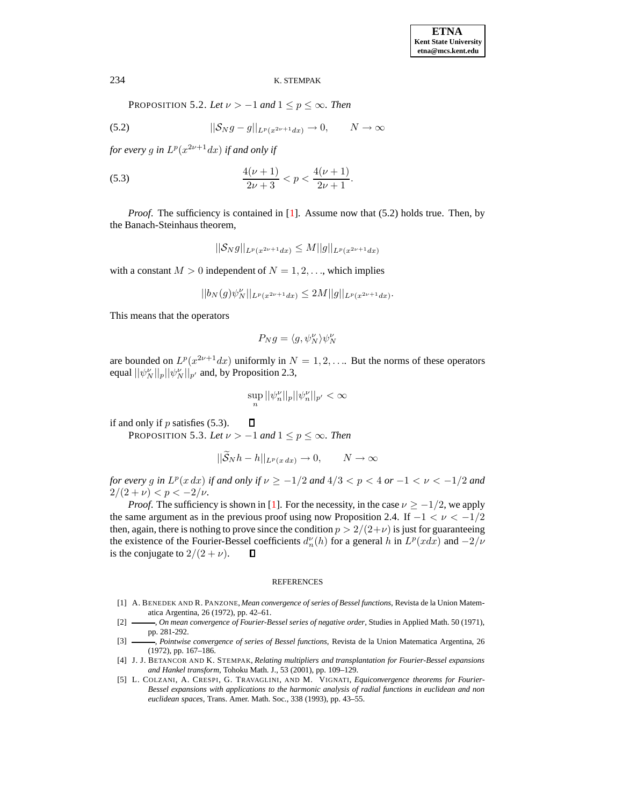PROPOSITION 5.2. *Let*  $\nu > -1$  *and*  $1 \leq p \leq \infty$ *. Then* 

(5.2) 
$$
||S_N g - g||_{L^p(x^{2\nu+1}dx)} \to 0, \qquad N \to \infty
$$

for every g in  $L^p(x^{2\nu+1}dx)$  if and only if

(5.3) 
$$
\frac{4(\nu+1)}{2\nu+3} < p < \frac{4(\nu+1)}{2\nu+1}.
$$

*Proof.* The sufficiency is contained in [\[1\]](#page-11-0). Assume now that (5.2) holds true. Then, by the Banach-Steinhaus theorem,

$$
||S_N g||_{L^p(x^{2\nu+1}dx)} \leq M||g||_{L^p(x^{2\nu+1}dx)}
$$

with a constant  $M > 0$  independent of  $N = 1, 2, \dots$ , which implies

$$
||b_N(g)\psi^{\nu}_N||_{L^p(x^{2\nu+1}dx)}\leq 2M||g||_{L^p(x^{2\nu+1}dx)}.
$$

This means that the operators

$$
P_N g = \langle g, \psi^\nu_N \rangle \psi^\nu_N
$$

are bounded on  $L^p(x^{2\nu+1}dx)$  uniformly in  $N=1,2,\ldots$  But the norms of these operators equal  $||\psi^{\nu}_{N}||_{p}||\psi^{\nu}_{N}||_{p'}$  and, by Proposition 2.3,

$$
\sup_n ||\psi_n^\nu||_p ||\psi_n^\nu||_{p'} < \infty
$$

if and only if  $p$  satisfies (5.3).  $\Box$ PROPOSITION 5.3. Let  $\nu > -1$  and  $1 \le p \le \infty$ . Then

$$
||\widetilde{\mathcal{S}}_N h - h||_{L^p(x dx)} \to 0, \qquad N \to \infty
$$

*for every g in*  $L^p(x \, dx)$  *if and only if*  $\nu \geq -1/2$  *and*  $4/3 < p < 4$  *or*  $-1 < \nu < -1/2$  *and*  $2/(2 + \nu) < p < -2/\nu$ .

*Proof.* The sufficiency is shown in [\[1\]](#page-11-0). For the necessity, in the case  $\nu \ge -1/2$ , we apply the same argument as in the previous proof using now Proposition 2.4. If  $-1 < \nu < -1/2$ then, again, there is nothing to prove since the condition  $p > 2/(2+\nu)$  is just for guaranteeing the existence of the Fourier-Bessel coefficients  $d_n^{\nu}(h)$  for a general h in  $L^p(xdx)$  and  $-2/\nu$ is the conjugate to  $2/(2 + \nu)$ .  $\Box$ 

#### REFERENCES

- <span id="page-11-0"></span>[1] A. BENEDEK AND R. PANZONE, *Mean convergence of series of Bessel functions*, Revista de la Union Matematica Argentina, 26 (1972), pp. 42–61.
- <span id="page-11-1"></span>[2] , *On mean convergence of Fourier-Bessel series of negative order*, Studies in Applied Math. 50 (1971), pp. 281-292.
- <span id="page-11-2"></span>[3] , *Pointwise convergence of series of Bessel functions*, Revista de la Union Matematica Argentina, 26 (1972), pp. 167–186.
- [4] J. J. BETANCOR AND K. STEMPAK, *Relating multipliers and transplantation for Fourier-Bessel expansions and Hankel transform*, Tohoku Math. J., 53 (2001), pp. 109–129.
- <span id="page-11-3"></span>[5] L. COLZANI, A. CRESPI, G. TRAVAGLINI, AND M. VIGNATI, *Equiconvergence theorems for Fourier-Bessel expansions with applications to the harmonic analysis of radial functions in euclidean and non euclidean spaces*, Trans. Amer. Math. Soc., 338 (1993), pp. 43–55.